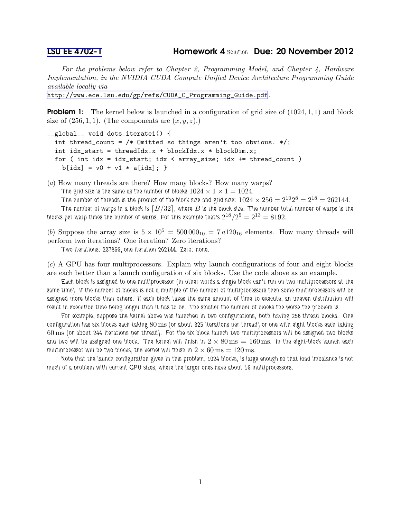For the problems below refer to Chapter 2, Programming Model, and Chapter 4, Hardware Implementation, in the NVIDIA CUDA Compute Unified Device Architecture Programming Guide available locally via

[http://www.ece.lsu.edu/gp/refs/CUDA\\_C\\_Programming\\_Guide.pdf](http://www.ece.lsu.edu/gp/refs/CUDA_C_Programming_Guide.pdf).

**Problem 1:** The kernel below is launched in a configuration of grid size of  $(1024, 1, 1)$  and block size of  $(256, 1, 1)$ . (The components are  $(x, y, z)$ .)

```
__global__ void dots_iterate1() {
  int thread_count = /* Omitted so things aren't too obvious. */;int idx_start = threadIdx.x + blockIdx.x * blockDim.x;
 for ( int idx = idx_start; idx < array_size; idx += thread_count )
   b[idx] = v0 + v1 * a[idx]; }
```
(a) How many threads are there? How many blocks? How many warps?

The grid size is the same as the number of blocks  $1024 \times 1 \times 1 = 1024$ .

The number of threads is the product of the block size and grid size:  $1024\times256=2^{10}2^8=2^{18}=262144.$ 

*The number of warps in a block is*  $[B/32]$ *, where B* is the block size. The number total number of warps is the blocks per warp times the number of warps. For this example that's  $2^{18}/2^5 = 2^{13} = 8192.$ 

(b) Suppose the array size is  $5 \times 10^5 = 500000_{10} = 7 a120_{16}$  elements. How many threads will perform two iterations? One iteration? Zero iterations?

*Two iterations: 237856, one iteration 262144. Zero: none.*

(c) A GPU has four multiprocessors. Explain why launch configurations of four and eight blocks are each better than a launch configuration of six blocks. Use the code above as an example.

*Each block is assigned to one multiprocessor (in other words a single block can't run on two multiprocessors at the same time). If the number of blocks is not a multiple of the number of multiprocessors then some multiprocessors will be* assigned more blocks than others. If each block takes the same amount of time to execute, an uneven distribution will *result in execution time being longer than it has to be. The smaller the number of blocks the worse the problem is.*

*For example, suppose the kernel above was launched in two configurations, both having 256-thread blocks. One configuration has six blocks each taking* 80 ms *(or about 325 iterations per thread) or one with eight blocks each taking* 60 ms *(or about 244 iterations per thread). For the six-block launch two multiprocessors will be assigned two blocks* and two will be assigned one block. The kernel will finish in  $2 \times 80 \,\rm{ms} = 160 \,\rm{ms}$ . In the eight-block launch each multiprocessor will be two blocks, the kernel will finish in  $2 \times 60 \text{ ms} = 120 \text{ ms}$ .

*Note that the launch configuration given in this problem, 1024 blocks, is large enough so that load imbalance is not much of a problem with current GPU sizes, where the larger ones have about 16 multiprocessors.*